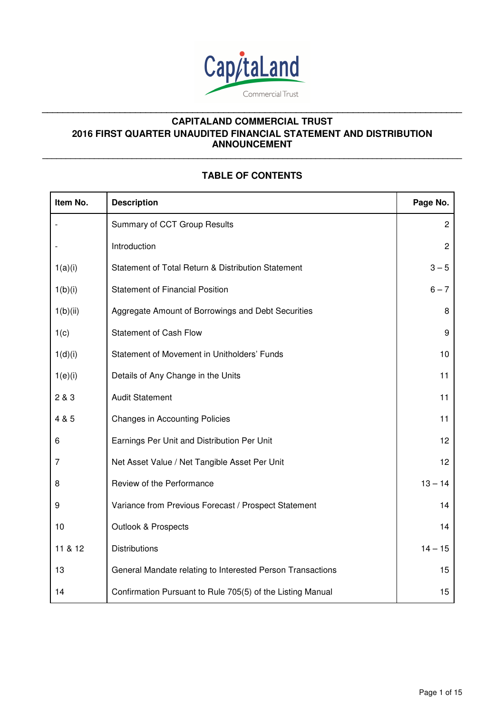

**\_\_\_\_\_\_\_\_\_\_\_\_\_\_\_\_\_\_\_\_\_\_\_\_\_\_\_\_\_\_\_\_\_\_\_\_\_\_\_\_\_\_\_\_\_\_\_\_\_\_\_\_\_\_\_\_\_\_\_\_\_\_\_\_\_\_\_\_\_\_\_\_\_\_\_\_\_\_\_\_\_** 

# **TABLE OF CONTENTS**

**\_\_\_\_\_\_\_\_\_\_\_\_\_\_\_\_\_\_\_\_\_\_\_\_\_\_\_\_\_\_\_\_\_\_\_\_\_\_\_\_\_\_\_\_\_\_\_\_\_\_\_\_\_\_\_\_\_\_\_\_\_\_\_\_\_\_\_\_\_\_\_\_\_\_\_\_\_\_\_\_\_\_\_\_\_\_\_\_\_**

| Item No. | <b>Description</b>                                         | Page No.        |
|----------|------------------------------------------------------------|-----------------|
|          | Summary of CCT Group Results                               | $\overline{c}$  |
|          | Introduction                                               | $\overline{c}$  |
| 1(a)(i)  | Statement of Total Return & Distribution Statement         | $3 - 5$         |
| 1(b)(i)  | <b>Statement of Financial Position</b>                     | $6 - 7$         |
| 1(b)(ii) | Aggregate Amount of Borrowings and Debt Securities         | 8               |
| 1(c)     | <b>Statement of Cash Flow</b>                              | 9               |
| 1(d)(i)  | Statement of Movement in Unitholders' Funds                | 10              |
| 1(e)(i)  | Details of Any Change in the Units                         | 11              |
| 2 & 3    | <b>Audit Statement</b>                                     | 11              |
| 4 & 5    | <b>Changes in Accounting Policies</b>                      | 11              |
| 6        | Earnings Per Unit and Distribution Per Unit                | 12              |
| 7        | Net Asset Value / Net Tangible Asset Per Unit              | 12 <sub>2</sub> |
| 8        | Review of the Performance                                  | $13 - 14$       |
| 9        | Variance from Previous Forecast / Prospect Statement       | 14              |
| 10       | Outlook & Prospects                                        | 14              |
| 11 & 12  | <b>Distributions</b>                                       | $14 - 15$       |
| 13       | General Mandate relating to Interested Person Transactions | 15              |
| 14       | Confirmation Pursuant to Rule 705(5) of the Listing Manual | 15              |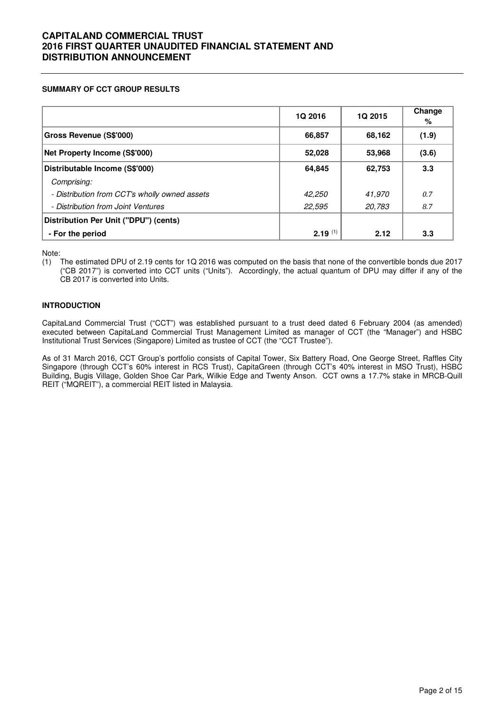## **SUMMARY OF CCT GROUP RESULTS**

|                                               | 1Q 2016      | 1Q 2015 | Change<br>% |
|-----------------------------------------------|--------------|---------|-------------|
| <b>Gross Revenue (S\$'000)</b>                | 66,857       | 68,162  | (1.9)       |
| Net Property Income (S\$'000)                 | 52,028       | 53,968  | (3.6)       |
| Distributable Income (S\$'000)                | 64,845       | 62.753  | 3.3         |
| Comprising:                                   |              |         |             |
| - Distribution from CCT's wholly owned assets | 42,250       | 41,970  | 0.7         |
| - Distribution from Joint Ventures            | 22,595       | 20,783  | 8.7         |
| Distribution Per Unit ("DPU") (cents)         |              |         |             |
| - For the period                              | $2.19^{(1)}$ | 2.12    | 3.3         |

Note:

(1) The estimated DPU of 2.19 cents for 1Q 2016 was computed on the basis that none of the convertible bonds due 2017 ("CB 2017") is converted into CCT units ("Units"). Accordingly, the actual quantum of DPU may differ if any of the CB 2017 is converted into Units.

### **INTRODUCTION**

CapitaLand Commercial Trust ("CCT") was established pursuant to a trust deed dated 6 February 2004 (as amended) executed between CapitaLand Commercial Trust Management Limited as manager of CCT (the "Manager") and HSBC Institutional Trust Services (Singapore) Limited as trustee of CCT (the "CCT Trustee").

As of 31 March 2016, CCT Group's portfolio consists of Capital Tower, Six Battery Road, One George Street, Raffles City Singapore (through CCT's 60% interest in RCS Trust), CapitaGreen (through CCT's 40% interest in MSO Trust), HSBC Building, Bugis Village, Golden Shoe Car Park, Wilkie Edge and Twenty Anson. CCT owns a 17.7% stake in MRCB-Quill REIT ("MQREIT"), a commercial REIT listed in Malaysia.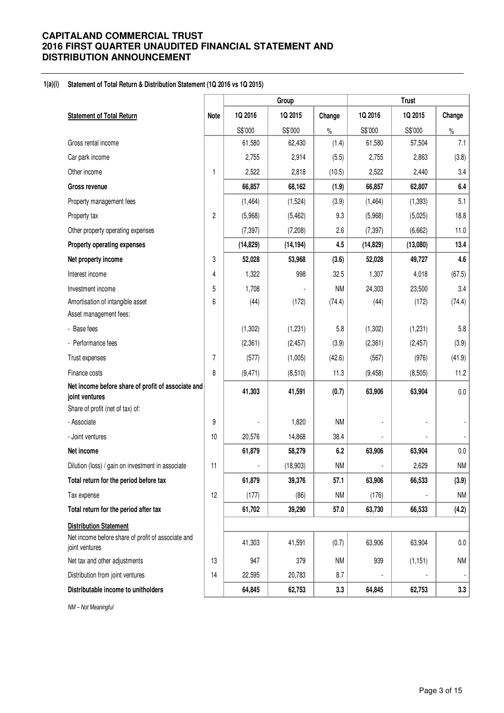#### **1(a)(i) Statement of Total Return & Distribution Statement (1Q 2016 vs 1Q 2015)**

| 1Q 2016<br>1Q 2015<br>1Q 2016<br>1Q 2015<br>Change<br><b>Statement of Total Return</b><br>Note<br>Change<br>S\$'000<br>S\$'000<br>S\$'000<br>S\$'000<br>$\%$<br>$\%$<br>7.1<br>Gross rental income<br>61,580<br>(1.4)<br>57,504<br>62,430<br>61,580<br>(3.8)<br>Car park income<br>2,755<br>2,914<br>(5.5)<br>2,755<br>2,863<br>(10.5)<br>3.4<br>Other income<br>2,522<br>2,818<br>2,522<br>2,440<br>1<br>68,162<br>62,807<br>6.4<br>66,857<br>(1.9)<br>66,857<br><b>Gross revenue</b><br>5.1<br>(3.9)<br>(1, 464)<br>(1,524)<br>(1, 464)<br>(1, 393)<br>Property management fees<br>$\overline{c}$<br>9.3<br>18.8<br>(5,968)<br>(5, 462)<br>(5,968)<br>(5,025)<br>Property tax<br>2.6<br>11.0<br>(7, 397)<br>(6,662)<br>Other property operating expenses<br>(7, 397)<br>(7,208)<br>4.5<br>13.4<br>Property operating expenses<br>(14, 829)<br>(14, 194)<br>(14, 829)<br>(13,080)<br>3<br>4.6<br>52,028<br>53,968<br>(3.6)<br>52,028<br>Net property income<br>49,727<br>Interest income<br>1,322<br>998<br>32.5<br>1,307<br>(67.5)<br>4,018<br>4<br>5<br>1,708<br><b>NM</b><br>24,303<br>3.4<br>Investment income<br>23,500<br>6<br>Amortisation of intangible asset<br>(44)<br>(172)<br>(44)<br>(172)<br>(74.4)<br>(74.4)<br>Asset management fees:<br>5.8<br>5.8<br>- Base fees<br>(1,302)<br>(1, 231)<br>(1, 302)<br>(1,231)<br>(3.9)<br>- Performance fees<br>(2, 361)<br>(2, 457)<br>(3.9)<br>(2, 361)<br>(2, 457)<br>7<br>(41.9)<br>(577)<br>(1,005)<br>(42.6)<br>(567)<br>(976)<br>Trust expenses<br>8<br>11.2<br>Finance costs<br>(9, 471)<br>(8,510)<br>11.3<br>(9, 458)<br>(8,505)<br>Net income before share of profit of associate and<br>41,303<br>41,591<br>(0.7)<br>63,906<br>63,904<br>$0.0\,$<br>joint ventures<br>Share of profit (net of tax) of:<br>9<br>1,820<br><b>NM</b><br>- Associate<br>38.4<br>- Joint ventures<br>10<br>20,576<br>14,868<br>$0.0\,$<br>Net income<br>61,879<br>6.2<br>58,279<br>63,906<br>63,904<br><b>NM</b><br>Dilution (loss) / gain on investment in associate<br>11<br>(18,903)<br><b>NM</b><br>2,629<br>61,879<br>39,376<br>63,906<br>66,533<br>Total return for the period before tax<br>57.1<br>(3.9)<br>12<br><b>NM</b><br><b>NM</b><br>Tax expense<br>(177)<br>(86)<br>(176)<br>61,702<br>39,290<br>(4.2)<br>Total return for the period after tax<br>57.0<br>63,730<br>66,533<br><b>Distribution Statement</b><br>Net income before share of profit of associate and<br>41,303<br>63,906<br>63,904<br>$0.0\,$<br>41,591<br>(0.7)<br>joint ventures<br><b>NM</b><br>Net tax and other adjustments<br>13<br>947<br>379<br><b>NM</b><br>939<br>(1, 151)<br>Distribution from joint ventures<br>14<br>22,595<br>20,783<br>8.7<br>$\overline{\phantom{a}}$<br>Distributable income to unitholders<br>64,845<br>3.3<br>62,753<br>64,845<br>62,753 |  |  | Group | <b>Trust</b> |  |     |  |
|------------------------------------------------------------------------------------------------------------------------------------------------------------------------------------------------------------------------------------------------------------------------------------------------------------------------------------------------------------------------------------------------------------------------------------------------------------------------------------------------------------------------------------------------------------------------------------------------------------------------------------------------------------------------------------------------------------------------------------------------------------------------------------------------------------------------------------------------------------------------------------------------------------------------------------------------------------------------------------------------------------------------------------------------------------------------------------------------------------------------------------------------------------------------------------------------------------------------------------------------------------------------------------------------------------------------------------------------------------------------------------------------------------------------------------------------------------------------------------------------------------------------------------------------------------------------------------------------------------------------------------------------------------------------------------------------------------------------------------------------------------------------------------------------------------------------------------------------------------------------------------------------------------------------------------------------------------------------------------------------------------------------------------------------------------------------------------------------------------------------------------------------------------------------------------------------------------------------------------------------------------------------------------------------------------------------------------------------------------------------------------------------------------------------------------------------------------------------------------------------------------------------------------------------------------------------------------------------------------------------------------------------------------------------------------------------------------------------------------------------------------------------------------------------------|--|--|-------|--------------|--|-----|--|
|                                                                                                                                                                                                                                                                                                                                                                                                                                                                                                                                                                                                                                                                                                                                                                                                                                                                                                                                                                                                                                                                                                                                                                                                                                                                                                                                                                                                                                                                                                                                                                                                                                                                                                                                                                                                                                                                                                                                                                                                                                                                                                                                                                                                                                                                                                                                                                                                                                                                                                                                                                                                                                                                                                                                                                                                      |  |  |       |              |  |     |  |
|                                                                                                                                                                                                                                                                                                                                                                                                                                                                                                                                                                                                                                                                                                                                                                                                                                                                                                                                                                                                                                                                                                                                                                                                                                                                                                                                                                                                                                                                                                                                                                                                                                                                                                                                                                                                                                                                                                                                                                                                                                                                                                                                                                                                                                                                                                                                                                                                                                                                                                                                                                                                                                                                                                                                                                                                      |  |  |       |              |  |     |  |
|                                                                                                                                                                                                                                                                                                                                                                                                                                                                                                                                                                                                                                                                                                                                                                                                                                                                                                                                                                                                                                                                                                                                                                                                                                                                                                                                                                                                                                                                                                                                                                                                                                                                                                                                                                                                                                                                                                                                                                                                                                                                                                                                                                                                                                                                                                                                                                                                                                                                                                                                                                                                                                                                                                                                                                                                      |  |  |       |              |  |     |  |
|                                                                                                                                                                                                                                                                                                                                                                                                                                                                                                                                                                                                                                                                                                                                                                                                                                                                                                                                                                                                                                                                                                                                                                                                                                                                                                                                                                                                                                                                                                                                                                                                                                                                                                                                                                                                                                                                                                                                                                                                                                                                                                                                                                                                                                                                                                                                                                                                                                                                                                                                                                                                                                                                                                                                                                                                      |  |  |       |              |  |     |  |
|                                                                                                                                                                                                                                                                                                                                                                                                                                                                                                                                                                                                                                                                                                                                                                                                                                                                                                                                                                                                                                                                                                                                                                                                                                                                                                                                                                                                                                                                                                                                                                                                                                                                                                                                                                                                                                                                                                                                                                                                                                                                                                                                                                                                                                                                                                                                                                                                                                                                                                                                                                                                                                                                                                                                                                                                      |  |  |       |              |  |     |  |
|                                                                                                                                                                                                                                                                                                                                                                                                                                                                                                                                                                                                                                                                                                                                                                                                                                                                                                                                                                                                                                                                                                                                                                                                                                                                                                                                                                                                                                                                                                                                                                                                                                                                                                                                                                                                                                                                                                                                                                                                                                                                                                                                                                                                                                                                                                                                                                                                                                                                                                                                                                                                                                                                                                                                                                                                      |  |  |       |              |  |     |  |
|                                                                                                                                                                                                                                                                                                                                                                                                                                                                                                                                                                                                                                                                                                                                                                                                                                                                                                                                                                                                                                                                                                                                                                                                                                                                                                                                                                                                                                                                                                                                                                                                                                                                                                                                                                                                                                                                                                                                                                                                                                                                                                                                                                                                                                                                                                                                                                                                                                                                                                                                                                                                                                                                                                                                                                                                      |  |  |       |              |  |     |  |
|                                                                                                                                                                                                                                                                                                                                                                                                                                                                                                                                                                                                                                                                                                                                                                                                                                                                                                                                                                                                                                                                                                                                                                                                                                                                                                                                                                                                                                                                                                                                                                                                                                                                                                                                                                                                                                                                                                                                                                                                                                                                                                                                                                                                                                                                                                                                                                                                                                                                                                                                                                                                                                                                                                                                                                                                      |  |  |       |              |  |     |  |
|                                                                                                                                                                                                                                                                                                                                                                                                                                                                                                                                                                                                                                                                                                                                                                                                                                                                                                                                                                                                                                                                                                                                                                                                                                                                                                                                                                                                                                                                                                                                                                                                                                                                                                                                                                                                                                                                                                                                                                                                                                                                                                                                                                                                                                                                                                                                                                                                                                                                                                                                                                                                                                                                                                                                                                                                      |  |  |       |              |  |     |  |
|                                                                                                                                                                                                                                                                                                                                                                                                                                                                                                                                                                                                                                                                                                                                                                                                                                                                                                                                                                                                                                                                                                                                                                                                                                                                                                                                                                                                                                                                                                                                                                                                                                                                                                                                                                                                                                                                                                                                                                                                                                                                                                                                                                                                                                                                                                                                                                                                                                                                                                                                                                                                                                                                                                                                                                                                      |  |  |       |              |  |     |  |
|                                                                                                                                                                                                                                                                                                                                                                                                                                                                                                                                                                                                                                                                                                                                                                                                                                                                                                                                                                                                                                                                                                                                                                                                                                                                                                                                                                                                                                                                                                                                                                                                                                                                                                                                                                                                                                                                                                                                                                                                                                                                                                                                                                                                                                                                                                                                                                                                                                                                                                                                                                                                                                                                                                                                                                                                      |  |  |       |              |  |     |  |
|                                                                                                                                                                                                                                                                                                                                                                                                                                                                                                                                                                                                                                                                                                                                                                                                                                                                                                                                                                                                                                                                                                                                                                                                                                                                                                                                                                                                                                                                                                                                                                                                                                                                                                                                                                                                                                                                                                                                                                                                                                                                                                                                                                                                                                                                                                                                                                                                                                                                                                                                                                                                                                                                                                                                                                                                      |  |  |       |              |  |     |  |
|                                                                                                                                                                                                                                                                                                                                                                                                                                                                                                                                                                                                                                                                                                                                                                                                                                                                                                                                                                                                                                                                                                                                                                                                                                                                                                                                                                                                                                                                                                                                                                                                                                                                                                                                                                                                                                                                                                                                                                                                                                                                                                                                                                                                                                                                                                                                                                                                                                                                                                                                                                                                                                                                                                                                                                                                      |  |  |       |              |  |     |  |
|                                                                                                                                                                                                                                                                                                                                                                                                                                                                                                                                                                                                                                                                                                                                                                                                                                                                                                                                                                                                                                                                                                                                                                                                                                                                                                                                                                                                                                                                                                                                                                                                                                                                                                                                                                                                                                                                                                                                                                                                                                                                                                                                                                                                                                                                                                                                                                                                                                                                                                                                                                                                                                                                                                                                                                                                      |  |  |       |              |  |     |  |
|                                                                                                                                                                                                                                                                                                                                                                                                                                                                                                                                                                                                                                                                                                                                                                                                                                                                                                                                                                                                                                                                                                                                                                                                                                                                                                                                                                                                                                                                                                                                                                                                                                                                                                                                                                                                                                                                                                                                                                                                                                                                                                                                                                                                                                                                                                                                                                                                                                                                                                                                                                                                                                                                                                                                                                                                      |  |  |       |              |  |     |  |
|                                                                                                                                                                                                                                                                                                                                                                                                                                                                                                                                                                                                                                                                                                                                                                                                                                                                                                                                                                                                                                                                                                                                                                                                                                                                                                                                                                                                                                                                                                                                                                                                                                                                                                                                                                                                                                                                                                                                                                                                                                                                                                                                                                                                                                                                                                                                                                                                                                                                                                                                                                                                                                                                                                                                                                                                      |  |  |       |              |  |     |  |
|                                                                                                                                                                                                                                                                                                                                                                                                                                                                                                                                                                                                                                                                                                                                                                                                                                                                                                                                                                                                                                                                                                                                                                                                                                                                                                                                                                                                                                                                                                                                                                                                                                                                                                                                                                                                                                                                                                                                                                                                                                                                                                                                                                                                                                                                                                                                                                                                                                                                                                                                                                                                                                                                                                                                                                                                      |  |  |       |              |  |     |  |
|                                                                                                                                                                                                                                                                                                                                                                                                                                                                                                                                                                                                                                                                                                                                                                                                                                                                                                                                                                                                                                                                                                                                                                                                                                                                                                                                                                                                                                                                                                                                                                                                                                                                                                                                                                                                                                                                                                                                                                                                                                                                                                                                                                                                                                                                                                                                                                                                                                                                                                                                                                                                                                                                                                                                                                                                      |  |  |       |              |  |     |  |
|                                                                                                                                                                                                                                                                                                                                                                                                                                                                                                                                                                                                                                                                                                                                                                                                                                                                                                                                                                                                                                                                                                                                                                                                                                                                                                                                                                                                                                                                                                                                                                                                                                                                                                                                                                                                                                                                                                                                                                                                                                                                                                                                                                                                                                                                                                                                                                                                                                                                                                                                                                                                                                                                                                                                                                                                      |  |  |       |              |  |     |  |
|                                                                                                                                                                                                                                                                                                                                                                                                                                                                                                                                                                                                                                                                                                                                                                                                                                                                                                                                                                                                                                                                                                                                                                                                                                                                                                                                                                                                                                                                                                                                                                                                                                                                                                                                                                                                                                                                                                                                                                                                                                                                                                                                                                                                                                                                                                                                                                                                                                                                                                                                                                                                                                                                                                                                                                                                      |  |  |       |              |  |     |  |
|                                                                                                                                                                                                                                                                                                                                                                                                                                                                                                                                                                                                                                                                                                                                                                                                                                                                                                                                                                                                                                                                                                                                                                                                                                                                                                                                                                                                                                                                                                                                                                                                                                                                                                                                                                                                                                                                                                                                                                                                                                                                                                                                                                                                                                                                                                                                                                                                                                                                                                                                                                                                                                                                                                                                                                                                      |  |  |       |              |  |     |  |
|                                                                                                                                                                                                                                                                                                                                                                                                                                                                                                                                                                                                                                                                                                                                                                                                                                                                                                                                                                                                                                                                                                                                                                                                                                                                                                                                                                                                                                                                                                                                                                                                                                                                                                                                                                                                                                                                                                                                                                                                                                                                                                                                                                                                                                                                                                                                                                                                                                                                                                                                                                                                                                                                                                                                                                                                      |  |  |       |              |  |     |  |
|                                                                                                                                                                                                                                                                                                                                                                                                                                                                                                                                                                                                                                                                                                                                                                                                                                                                                                                                                                                                                                                                                                                                                                                                                                                                                                                                                                                                                                                                                                                                                                                                                                                                                                                                                                                                                                                                                                                                                                                                                                                                                                                                                                                                                                                                                                                                                                                                                                                                                                                                                                                                                                                                                                                                                                                                      |  |  |       |              |  |     |  |
|                                                                                                                                                                                                                                                                                                                                                                                                                                                                                                                                                                                                                                                                                                                                                                                                                                                                                                                                                                                                                                                                                                                                                                                                                                                                                                                                                                                                                                                                                                                                                                                                                                                                                                                                                                                                                                                                                                                                                                                                                                                                                                                                                                                                                                                                                                                                                                                                                                                                                                                                                                                                                                                                                                                                                                                                      |  |  |       |              |  |     |  |
|                                                                                                                                                                                                                                                                                                                                                                                                                                                                                                                                                                                                                                                                                                                                                                                                                                                                                                                                                                                                                                                                                                                                                                                                                                                                                                                                                                                                                                                                                                                                                                                                                                                                                                                                                                                                                                                                                                                                                                                                                                                                                                                                                                                                                                                                                                                                                                                                                                                                                                                                                                                                                                                                                                                                                                                                      |  |  |       |              |  |     |  |
|                                                                                                                                                                                                                                                                                                                                                                                                                                                                                                                                                                                                                                                                                                                                                                                                                                                                                                                                                                                                                                                                                                                                                                                                                                                                                                                                                                                                                                                                                                                                                                                                                                                                                                                                                                                                                                                                                                                                                                                                                                                                                                                                                                                                                                                                                                                                                                                                                                                                                                                                                                                                                                                                                                                                                                                                      |  |  |       |              |  |     |  |
|                                                                                                                                                                                                                                                                                                                                                                                                                                                                                                                                                                                                                                                                                                                                                                                                                                                                                                                                                                                                                                                                                                                                                                                                                                                                                                                                                                                                                                                                                                                                                                                                                                                                                                                                                                                                                                                                                                                                                                                                                                                                                                                                                                                                                                                                                                                                                                                                                                                                                                                                                                                                                                                                                                                                                                                                      |  |  |       |              |  |     |  |
|                                                                                                                                                                                                                                                                                                                                                                                                                                                                                                                                                                                                                                                                                                                                                                                                                                                                                                                                                                                                                                                                                                                                                                                                                                                                                                                                                                                                                                                                                                                                                                                                                                                                                                                                                                                                                                                                                                                                                                                                                                                                                                                                                                                                                                                                                                                                                                                                                                                                                                                                                                                                                                                                                                                                                                                                      |  |  |       |              |  |     |  |
|                                                                                                                                                                                                                                                                                                                                                                                                                                                                                                                                                                                                                                                                                                                                                                                                                                                                                                                                                                                                                                                                                                                                                                                                                                                                                                                                                                                                                                                                                                                                                                                                                                                                                                                                                                                                                                                                                                                                                                                                                                                                                                                                                                                                                                                                                                                                                                                                                                                                                                                                                                                                                                                                                                                                                                                                      |  |  |       |              |  |     |  |
|                                                                                                                                                                                                                                                                                                                                                                                                                                                                                                                                                                                                                                                                                                                                                                                                                                                                                                                                                                                                                                                                                                                                                                                                                                                                                                                                                                                                                                                                                                                                                                                                                                                                                                                                                                                                                                                                                                                                                                                                                                                                                                                                                                                                                                                                                                                                                                                                                                                                                                                                                                                                                                                                                                                                                                                                      |  |  |       |              |  |     |  |
|                                                                                                                                                                                                                                                                                                                                                                                                                                                                                                                                                                                                                                                                                                                                                                                                                                                                                                                                                                                                                                                                                                                                                                                                                                                                                                                                                                                                                                                                                                                                                                                                                                                                                                                                                                                                                                                                                                                                                                                                                                                                                                                                                                                                                                                                                                                                                                                                                                                                                                                                                                                                                                                                                                                                                                                                      |  |  |       |              |  |     |  |
|                                                                                                                                                                                                                                                                                                                                                                                                                                                                                                                                                                                                                                                                                                                                                                                                                                                                                                                                                                                                                                                                                                                                                                                                                                                                                                                                                                                                                                                                                                                                                                                                                                                                                                                                                                                                                                                                                                                                                                                                                                                                                                                                                                                                                                                                                                                                                                                                                                                                                                                                                                                                                                                                                                                                                                                                      |  |  |       |              |  |     |  |
|                                                                                                                                                                                                                                                                                                                                                                                                                                                                                                                                                                                                                                                                                                                                                                                                                                                                                                                                                                                                                                                                                                                                                                                                                                                                                                                                                                                                                                                                                                                                                                                                                                                                                                                                                                                                                                                                                                                                                                                                                                                                                                                                                                                                                                                                                                                                                                                                                                                                                                                                                                                                                                                                                                                                                                                                      |  |  |       |              |  |     |  |
|                                                                                                                                                                                                                                                                                                                                                                                                                                                                                                                                                                                                                                                                                                                                                                                                                                                                                                                                                                                                                                                                                                                                                                                                                                                                                                                                                                                                                                                                                                                                                                                                                                                                                                                                                                                                                                                                                                                                                                                                                                                                                                                                                                                                                                                                                                                                                                                                                                                                                                                                                                                                                                                                                                                                                                                                      |  |  |       |              |  | 3.3 |  |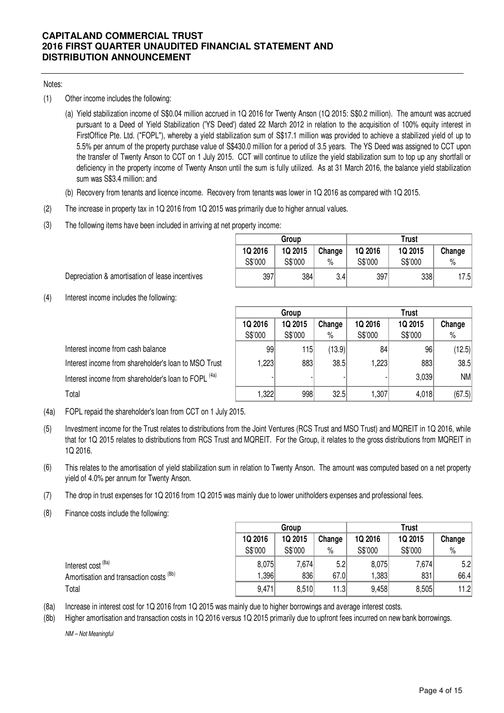## Notes:

(1) Other income includes the following:

(a) Yield stabilization income of S\$0.04 million accrued in 1Q 2016 for Twenty Anson (1Q 2015: S\$0.2 million). The amount was accrued pursuant to a Deed of Yield Stabilization ('YS Deed') dated 22 March 2012 in relation to the acquisition of 100% equity interest in FirstOffice Pte. Ltd. ("FOPL"), whereby a yield stabilization sum of S\$17.1 million was provided to achieve a stabilized yield of up to 5.5% per annum of the property purchase value of S\$430.0 million for a period of 3.5 years. The YS Deed was assigned to CCT upon the transfer of Twenty Anson to CCT on 1 July 2015. CCT will continue to utilize the yield stabilization sum to top up any shortfall or deficiency in the property income of Twenty Anson until the sum is fully utilized. As at 31 March 2016, the balance yield stabilization sum was S\$3.4 million; and

- (b) Recovery from tenants and licence income. Recovery from tenants was lower in 1Q 2016 as compared with 1Q 2015.
- (2) The increase in property tax in 1Q 2016 from 1Q 2015 was primarily due to higher annual values.
- (3) The following items have been included in arriving at net property income:

|         | Group   |        | Trust   |         |        |  |
|---------|---------|--------|---------|---------|--------|--|
| 1Q 2016 | 1Q 2015 | Change | 1Q 2016 | 1Q 2015 | Change |  |
| S\$'000 | S\$'000 | %      | S\$'000 | S\$'000 | %      |  |
| 397     | 384     | 3.41   | 397     | 338     | 7.5    |  |

Depreciation & amortisation of lease incentives

(4) Interest income includes the following:

|                                                                 | Group              |                    |             | <b>Trust</b>       |                    |             |  |
|-----------------------------------------------------------------|--------------------|--------------------|-------------|--------------------|--------------------|-------------|--|
|                                                                 | 1Q 2016<br>S\$'000 | 1Q 2015<br>S\$'000 | Change<br>% | 1Q 2016<br>S\$'000 | 1Q 2015<br>S\$'000 | Change<br>% |  |
| Interest income from cash balance                               | 99                 | 115                | (13.9)      | 84                 | 96                 | (12.5)      |  |
| Interest income from shareholder's loan to MSO Trust            | 1,223              | 883                | 38.5        | 1,223              | 883                | 38.5        |  |
| Interest income from shareholder's loan to FOPL <sup>(4a)</sup> |                    |                    |             |                    | 3,039              | NM          |  |
| Total                                                           | 1,322              | 998                | 32.5        | 1,307              | 4,018              | (67.5)      |  |

(4a) FOPL repaid the shareholder's loan from CCT on 1 July 2015.

- (5) Investment income for the Trust relates to distributions from the Joint Ventures (RCS Trust and MSO Trust) and MQREIT in 1Q 2016, while that for 1Q 2015 relates to distributions from RCS Trust and MQREIT. For the Group, it relates to the gross distributions from MQREIT in 1Q 2016.
- (6) This relates to the amortisation of yield stabilization sum in relation to Twenty Anson. The amount was computed based on a net property yield of 4.0% per annum for Twenty Anson.
- (7) The drop in trust expenses for 1Q 2016 from 1Q 2015 was mainly due to lower unitholders expenses and professional fees.
- (8) Finance costs include the following:

|                                         |         | Group   |        |         | <b>Trust</b> |        |  |  |
|-----------------------------------------|---------|---------|--------|---------|--------------|--------|--|--|
|                                         | 1Q 2016 | 1Q 2015 | Change | 1Q 2016 | 1Q 2015      | Change |  |  |
|                                         | S\$'000 | S\$'000 | $\%$   | S\$'000 | S\$'000      | $\%$   |  |  |
| Interest cost <sup>(8a)</sup>           | 8,075   | 7,674   | 5.2    | 8,075   | 7,674        | 5.2    |  |  |
| Amortisation and transaction costs (8b) | ,396    | 836     | 67.0   | ,383    | 831          | 66.4   |  |  |
| Total                                   | 9,471   | 8,510   | 11.3   | 9,458   | 8,505        | 11.2   |  |  |

(8a) Increase in interest cost for 1Q 2016 from 1Q 2015 was mainly due to higher borrowings and average interest costs.

(8b) Higher amortisation and transaction costs in 1Q 2016 versus 1Q 2015 primarily due to upfront fees incurred on new bank borrowings.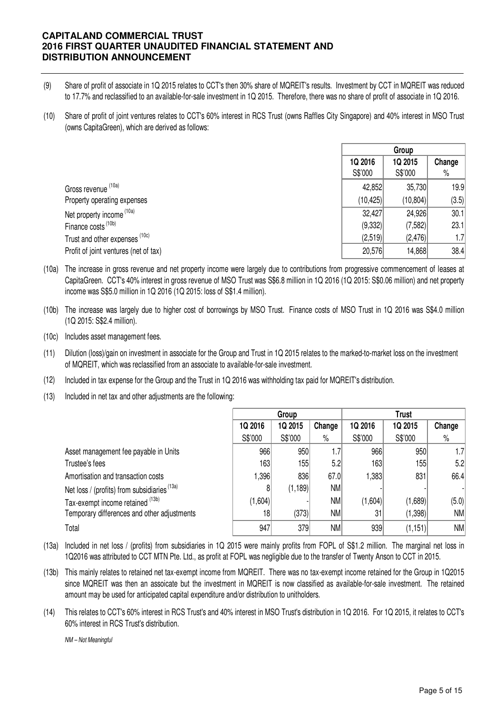- (9) Share of profit of associate in 1Q 2015 relates to CCT's then 30% share of MQREIT's results. Investment by CCT in MQREIT was reduced to 17.7% and reclassified to an available-for-sale investment in 1Q 2015. Therefore, there was no share of profit of associate in 1Q 2016.
- (10) Share of profit of joint ventures relates to CCT's 60% interest in RCS Trust (owns Raffles City Singapore) and 40% interest in MSO Trust (owns CapitaGreen), which are derived as follows:

|                                       | Group     |           |        |
|---------------------------------------|-----------|-----------|--------|
|                                       | 1Q 2016   | 1Q 2015   | Change |
|                                       | S\$'000   | S\$'000   | $\%$   |
| Gross revenue (10a)                   | 42,852    | 35,730    | 19.9   |
| Property operating expenses           | (10, 425) | (10, 804) | (3.5)  |
| Net property income <sup>(10a)</sup>  | 32,427    | 24,926    | 30.1   |
| Finance costs (10b)                   | (9,332)   | (7,582)   | 23.1   |
| Trust and other expenses (10c)        | (2,519)   | (2, 476)  | 1.7    |
| Profit of joint ventures (net of tax) | 20,576    | 14,868    | 38.4   |

- (10a) The increase in gross revenue and net property income were largely due to contributions from progressive commencement of leases at CapitaGreen. CCT's 40% interest in gross revenue of MSO Trust was S\$6.8 million in 1Q 2016 (1Q 2015: S\$0.06 million) and net property income was S\$5.0 million in 1Q 2016 (1Q 2015: loss of S\$1.4 million).
- (10b) The increase was largely due to higher cost of borrowings by MSO Trust. Finance costs of MSO Trust in 1Q 2016 was S\$4.0 million (1Q 2015: S\$2.4 million).
- (10c) Includes asset management fees.
- (11) Dilution (loss)/gain on investment in associate for the Group and Trust in 1Q 2015 relates to the marked-to-market loss on the investment of MQREIT, which was reclassified from an associate to available-for-sale investment.
- (12) Included in tax expense for the Group and the Trust in 1Q 2016 was withholding tax paid for MQREIT's distribution.
- (13) Included in net tax and other adjustments are the following:

|                                              | Group   |          |           | <b>Trust</b> |          |           |
|----------------------------------------------|---------|----------|-----------|--------------|----------|-----------|
|                                              | 1Q 2016 | 1Q 2015  | Change    | 1Q 2016      | 1Q 2015  | Change    |
|                                              | S\$'000 | S\$'000  | $\%$      | S\$'000      | S\$'000  | $\%$      |
| Asset management fee payable in Units        | 966     | 950      | 1.7       | 966          | 950      | 1.7       |
| Trustee's fees                               | 163     | 155      | 5.2       | 163          | 155      | 5.2       |
| Amortisation and transaction costs           | 1,396   | 836      | 67.0      | 1,383        | 831      | 66.4      |
| Net loss / (profits) from subsidiaries (13a) | 8       | (1, 189) | <b>NM</b> |              |          |           |
| Tax-exempt income retained (13b)             | (1,604) |          | <b>NM</b> | (1,604)      | (1,689)  | (5.0)     |
| Temporary differences and other adjustments  | 18      | (373)    | <b>NM</b> | 31           | (1,398)  | <b>NM</b> |
| Total                                        | 947     | 379      | <b>NM</b> | 939          | (1, 151) | <b>NM</b> |

- (13a) Included in net loss / (profits) from subsidiaries in 1Q 2015 were mainly profits from FOPL of S\$1.2 million. The marginal net loss in 1Q2016 was attributed to CCT MTN Pte. Ltd., as profit at FOPL was negligible due to the transfer of Twenty Anson to CCT in 2015.
- (13b) This mainly relates to retained net tax-exempt income from MQREIT. There was no tax-exempt income retained for the Group in 1Q2015 since MQREIT was then an assoicate but the investment in MQREIT is now classified as available-for-sale investment. The retained amount may be used for anticipated capital expenditure and/or distribution to unitholders.
- (14) This relates to CCT's 60% interest in RCS Trust's and 40% interest in MSO Trust's distribution in 1Q 2016. For 1Q 2015, it relates to CCT's 60% interest in RCS Trust's distribution.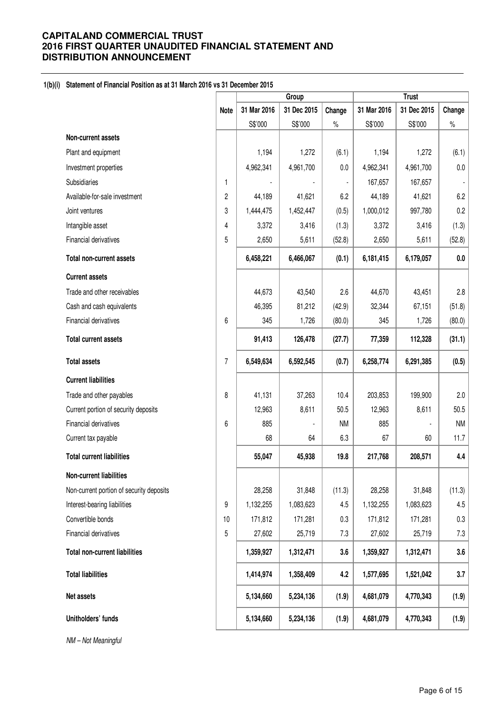## **1(b)(i) Statement of Financial Position as at 31 March 2016 vs 31 December 2015**

|                                          |             | Group                 |             | <b>Trust</b>   |             |             |           |
|------------------------------------------|-------------|-----------------------|-------------|----------------|-------------|-------------|-----------|
|                                          | <b>Note</b> | 31 Mar 2016           | 31 Dec 2015 | Change         | 31 Mar 2016 | 31 Dec 2015 | Change    |
|                                          |             | S\$'000               | S\$'000     | $\%$           | S\$'000     | S\$'000     | $\%$      |
| Non-current assets                       |             |                       |             |                |             |             |           |
| Plant and equipment                      |             | 1,194                 | 1,272       | (6.1)          | 1,194       | 1,272       | (6.1)     |
| Investment properties                    |             | 4,962,341             | 4,961,700   | 0.0            | 4,962,341   | 4,961,700   | $0.0\,$   |
| Subsidiaries                             | 1           | $\tilde{\phantom{a}}$ |             | $\blacksquare$ | 167,657     | 167,657     |           |
| Available-for-sale investment            | 2           | 44,189                | 41,621      | 6.2            | 44,189      | 41,621      | 6.2       |
| Joint ventures                           | 3           | 1,444,475             | 1,452,447   | (0.5)          | 1,000,012   | 997,780     | 0.2       |
| Intangible asset                         | 4           | 3,372                 | 3,416       | (1.3)          | 3,372       | 3,416       | (1.3)     |
| Financial derivatives                    | 5           | 2,650                 | 5,611       | (52.8)         | 2,650       | 5,611       | (52.8)    |
| <b>Total non-current assets</b>          |             | 6,458,221             | 6,466,067   | (0.1)          | 6,181,415   | 6,179,057   | 0.0       |
| <b>Current assets</b>                    |             |                       |             |                |             |             |           |
| Trade and other receivables              |             | 44,673                | 43,540      | 2.6            | 44,670      | 43,451      | 2.8       |
| Cash and cash equivalents                |             | 46,395                | 81,212      | (42.9)         | 32,344      | 67,151      | (51.8)    |
| Financial derivatives                    | 6           | 345                   | 1,726       | (80.0)         | 345         | 1,726       | (80.0)    |
| <b>Total current assets</b>              |             | 91,413                | 126,478     | (27.7)         | 77,359      | 112,328     | (31.1)    |
| <b>Total assets</b>                      | 7           | 6,549,634             | 6,592,545   | (0.7)          | 6,258,774   | 6,291,385   | (0.5)     |
| <b>Current liabilities</b>               |             |                       |             |                |             |             |           |
| Trade and other payables                 | 8           | 41,131                | 37,263      | 10.4           | 203,853     | 199,900     | 2.0       |
| Current portion of security deposits     |             | 12,963                | 8,611       | 50.5           | 12,963      | 8,611       | 50.5      |
| Financial derivatives                    | 6           | 885                   |             | <b>NM</b>      | 885         |             | <b>NM</b> |
| Current tax payable                      |             | 68                    | 64          | 6.3            | 67          | 60          | 11.7      |
| <b>Total current liabilities</b>         |             | 55,047                | 45,938      | 19.8           | 217,768     | 208,571     | 4.4       |
| Non-current liabilities                  |             |                       |             |                |             |             |           |
| Non-current portion of security deposits |             | 28,258                | 31,848      | (11.3)         | 28,258      | 31,848      | (11.3)    |
| Interest-bearing liabilities             | 9           | 1,132,255             | 1,083,623   | 4.5            | 1,132,255   | 1,083,623   | 4.5       |
| Convertible bonds                        | 10          | 171,812               | 171,281     | 0.3            | 171,812     | 171,281     | 0.3       |
| Financial derivatives                    | 5           | 27,602                | 25,719      | 7.3            | 27,602      | 25,719      | 7.3       |
| <b>Total non-current liabilities</b>     |             | 1,359,927             | 1,312,471   | 3.6            | 1,359,927   | 1,312,471   | 3.6       |
| <b>Total liabilities</b>                 |             | 1,414,974             | 1,358,409   | 4.2            | 1,577,695   | 1,521,042   | 3.7       |
| Net assets                               |             | 5,134,660             | 5,234,136   | (1.9)          | 4,681,079   | 4,770,343   | (1.9)     |
| Unitholders' funds                       |             | 5,134,660             | 5,234,136   | (1.9)          | 4,681,079   | 4,770,343   | (1.9)     |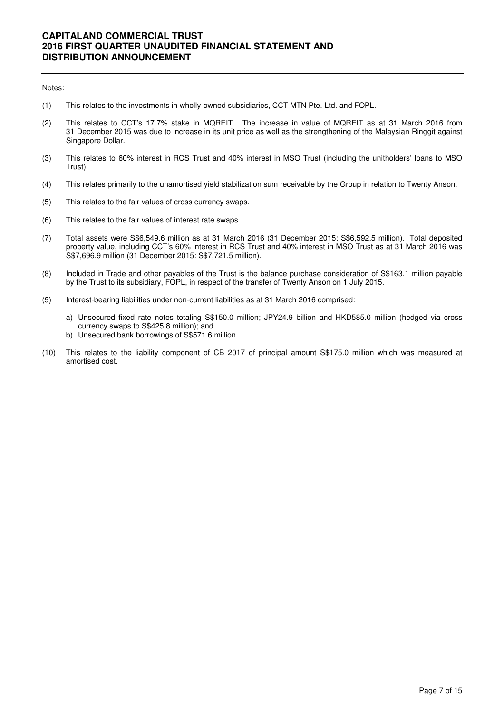#### Notes:

- (1) This relates to the investments in wholly-owned subsidiaries, CCT MTN Pte. Ltd. and FOPL.
- (2) This relates to CCT's 17.7% stake in MQREIT. The increase in value of MQREIT as at 31 March 2016 from 31 December 2015 was due to increase in its unit price as well as the strengthening of the Malaysian Ringgit against Singapore Dollar.
- (3) This relates to 60% interest in RCS Trust and 40% interest in MSO Trust (including the unitholders' loans to MSO Trust).
- (4) This relates primarily to the unamortised yield stabilization sum receivable by the Group in relation to Twenty Anson.
- (5) This relates to the fair values of cross currency swaps.
- (6) This relates to the fair values of interest rate swaps.
- (7) Total assets were S\$6,549.6 million as at 31 March 2016 (31 December 2015: S\$6,592.5 million). Total deposited property value, including CCT's 60% interest in RCS Trust and 40% interest in MSO Trust as at 31 March 2016 was S\$7,696.9 million (31 December 2015: S\$7,721.5 million).
- (8) Included in Trade and other payables of the Trust is the balance purchase consideration of S\$163.1 million payable by the Trust to its subsidiary, FOPL, in respect of the transfer of Twenty Anson on 1 July 2015.
- (9) Interest-bearing liabilities under non-current liabilities as at 31 March 2016 comprised:
	- a) Unsecured fixed rate notes totaling S\$150.0 million; JPY24.9 billion and HKD585.0 million (hedged via cross currency swaps to S\$425.8 million); and
	- b) Unsecured bank borrowings of S\$571.6 million.
- (10) This relates to the liability component of CB 2017 of principal amount S\$175.0 million which was measured at amortised cost.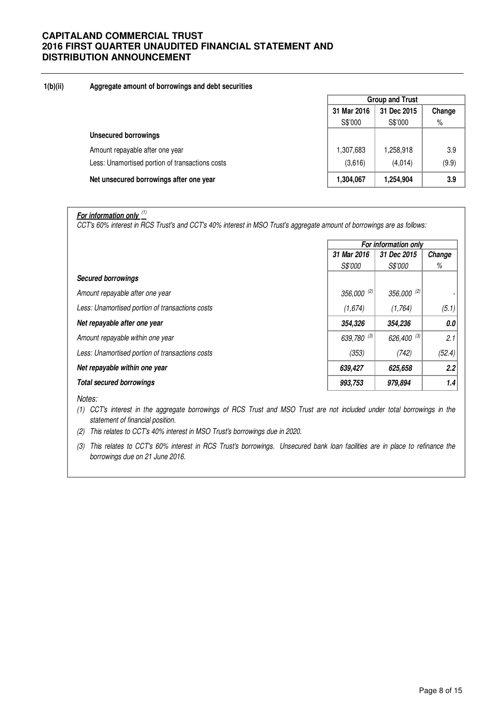## **1(b)(ii) Aggregate amount of borrowings and debt securities**

|                                                 | <b>Group and Trust</b> |             |        |  |
|-------------------------------------------------|------------------------|-------------|--------|--|
|                                                 | 31 Mar 2016            | 31 Dec 2015 | Change |  |
|                                                 | S\$'000                | S\$'000     | $\%$   |  |
| <b>Unsecured borrowings</b>                     |                        |             |        |  |
| Amount repayable after one year                 | 1,307,683              | 1,258,918   | 3.9    |  |
| Less: Unamortised portion of transactions costs | (3,616)                | (4.014)     | (9.9)  |  |
| Net unsecured borrowings after one year         | 1,304,067              | 1,254,904   | 3.9    |  |

# **For information only** (1)

CCT's 60% interest in RCS Trust's and CCT's 40% interest in MSO Trust's aggregate amount of borrowings are as follows:

|                                                 | For information only       |                |        |
|-------------------------------------------------|----------------------------|----------------|--------|
|                                                 | 31 Mar 2016<br>31 Dec 2015 |                | Change |
|                                                 | <i>S\$'000</i>             | <i>S\$'000</i> | %      |
| <b>Secured borrowings</b>                       |                            |                |        |
| Amount repayable after one year                 | $356,000^{(2)}$            | 356,000 (2)    |        |
| Less: Unamortised portion of transactions costs | (1,674)                    | (1,764)        | (5.1)  |
| Net repayable after one year                    | 354,326                    | 354,236        | 0.0    |
| Amount repayable within one year                | 639,780 (3)                | 626,400 (3)    | 2.1    |
| Less: Unamortised portion of transactions costs | (353)                      | (742)          | (52.4) |
| Net repayable within one year                   | 639,427                    | 625,658        | 2.2    |
| <b>Total secured borrowings</b>                 | 993,753                    | 979,894        | 1.4    |

#### Notes:

(1) CCT's interest in the aggregate borrowings of RCS Trust and MSO Trust are not included under total borrowings in the statement of financial position.

- (2) This relates to CCT's 40% interest in MSO Trust's borrowings due in 2020.
- (3) This relates to CCT's 60% interest in RCS Trust's borrowings. Unsecured bank loan facilities are in place to refinance the borrowings due on 21 June 2016.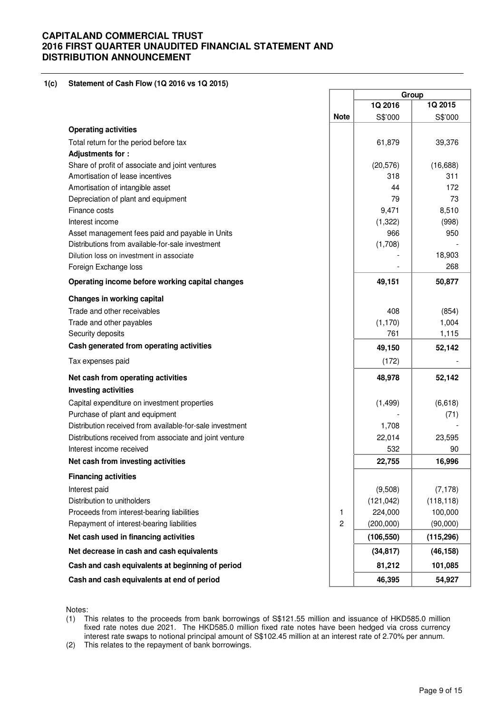#### **1(c) Statement of Cash Flow (1Q 2016 vs 1Q 2015)**

|                                                          |             | Group      |            |
|----------------------------------------------------------|-------------|------------|------------|
|                                                          |             | 1Q 2016    | 1Q 2015    |
|                                                          | <b>Note</b> | S\$'000    | S\$'000    |
| <b>Operating activities</b>                              |             |            |            |
| Total return for the period before tax                   |             | 61,879     | 39,376     |
| <b>Adjustments for:</b>                                  |             |            |            |
| Share of profit of associate and joint ventures          |             | (20, 576)  | (16, 688)  |
| Amortisation of lease incentives                         |             | 318        | 311        |
| Amortisation of intangible asset                         |             | 44         | 172        |
| Depreciation of plant and equipment                      |             | 79         | 73         |
| Finance costs                                            |             | 9,471      | 8,510      |
| Interest income                                          |             | (1, 322)   | (998)      |
| Asset management fees paid and payable in Units          |             | 966        | 950        |
| Distributions from available-for-sale investment         |             | (1,708)    |            |
| Dilution loss on investment in associate                 |             |            | 18,903     |
| Foreign Exchange loss                                    |             |            | 268        |
| Operating income before working capital changes          |             | 49,151     | 50,877     |
| <b>Changes in working capital</b>                        |             |            |            |
| Trade and other receivables                              |             | 408        | (854)      |
| Trade and other payables                                 |             | (1, 170)   | 1,004      |
| Security deposits                                        |             | 761        | 1,115      |
| Cash generated from operating activities                 |             | 49,150     | 52,142     |
| Tax expenses paid                                        |             | (172)      |            |
| Net cash from operating activities                       |             | 48,978     | 52,142     |
| <b>Investing activities</b>                              |             |            |            |
| Capital expenditure on investment properties             |             | (1, 499)   | (6,618)    |
| Purchase of plant and equipment                          |             |            | (71)       |
| Distribution received from available-for-sale investment |             | 1,708      |            |
| Distributions received from associate and joint venture  |             | 22,014     | 23,595     |
| Interest income received                                 |             | 532        | 90         |
| Net cash from investing activities                       |             | 22,755     | 16,996     |
| <b>Financing activities</b>                              |             |            |            |
| Interest paid                                            |             | (9,508)    | (7, 178)   |
| Distribution to unitholders                              |             | (121, 042) | (118, 118) |
| Proceeds from interest-bearing liabilities               | 1           | 224,000    | 100,000    |
| Repayment of interest-bearing liabilities                | 2           | (200,000)  | (90,000)   |
| Net cash used in financing activities                    |             | (106, 550) | (115, 296) |
| Net decrease in cash and cash equivalents                |             | (34, 817)  | (46, 158)  |
| Cash and cash equivalents at beginning of period         |             | 81,212     | 101,085    |
| Cash and cash equivalents at end of period               |             | 46,395     | 54,927     |

Notes:

(1) This relates to the proceeds from bank borrowings of S\$121.55 million and issuance of HKD585.0 million fixed rate notes due 2021. The HKD585.0 million fixed rate notes have been hedged via cross currency interest rate swaps to notional principal amount of S\$102.45 million at an interest rate of 2.70% per annum.

(2) This relates to the repayment of bank borrowings.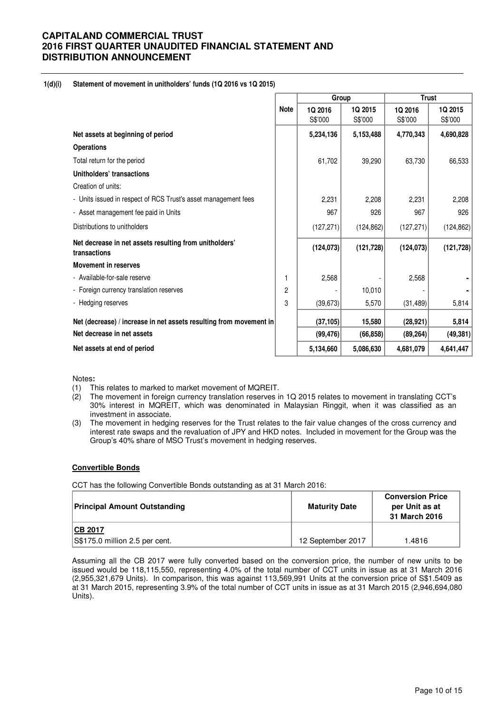#### **1(d)(i) Statement of movement in unitholders' funds (1Q 2016 vs 1Q 2015)**

|                                                                        |                | Group      |            | <b>Trust</b> |            |  |
|------------------------------------------------------------------------|----------------|------------|------------|--------------|------------|--|
|                                                                        | <b>Note</b>    | 1Q 2016    | 1Q 2015    | 1Q 2016      | 1Q 2015    |  |
|                                                                        |                | S\$'000    | S\$'000    | S\$'000      | S\$'000    |  |
| Net assets at beginning of period                                      |                | 5,234,136  | 5,153,488  | 4,770,343    | 4,690,828  |  |
| <b>Operations</b>                                                      |                |            |            |              |            |  |
| Total return for the period                                            |                | 61,702     | 39,290     | 63,730       | 66,533     |  |
| Unitholders' transactions                                              |                |            |            |              |            |  |
| Creation of units:                                                     |                |            |            |              |            |  |
| - Units issued in respect of RCS Trust's asset management fees         |                | 2,231      | 2,208      | 2,231        | 2,208      |  |
| - Asset management fee paid in Units                                   |                | 967        | 926        | 967          | 926        |  |
| Distributions to unitholders                                           |                | (127, 271) | (124, 862) | (127, 271)   | (124, 862) |  |
| Net decrease in net assets resulting from unitholders'<br>transactions |                | (124, 073) | (121, 728) | (124, 073)   | (121, 728) |  |
| <b>Movement in reserves</b>                                            |                |            |            |              |            |  |
| - Available-for-sale reserve                                           | 1              | 2,568      |            | 2,568        |            |  |
| - Foreign currency translation reserves                                | $\overline{c}$ |            | 10,010     |              |            |  |
| - Hedging reserves                                                     | 3              | (39, 673)  | 5,570      | (31, 489)    | 5,814      |  |
| Net (decrease) / increase in net assets resulting from movement in     |                | (37, 105)  | 15,580     | (28, 921)    | 5,814      |  |
| Net decrease in net assets                                             |                | (99, 476)  | (66, 858)  | (89, 264)    | (49, 381)  |  |
| Net assets at end of period                                            |                | 5,134,660  | 5,086,630  | 4,681,079    | 4,641,447  |  |

Notes**:** 

- 
- (1) This relates to marked to market movement of MQREIT.<br>(2) The movement in foreign currency translation reserves in The movement in foreign currency translation reserves in 1Q 2015 relates to movement in translating CCT's 30% interest in MQREIT, which was denominated in Malaysian Ringgit, when it was classified as an investment in associate.
- (3) The movement in hedging reserves for the Trust relates to the fair value changes of the cross currency and interest rate swaps and the revaluation of JPY and HKD notes. Included in movement for the Group was the Group's 40% share of MSO Trust's movement in hedging reserves.

#### **Convertible Bonds**

CCT has the following Convertible Bonds outstanding as at 31 March 2016:

| <b>Principal Amount Outstanding</b> | <b>Maturity Date</b> | <b>Conversion Price</b><br>per Unit as at<br>31 March 2016 |  |
|-------------------------------------|----------------------|------------------------------------------------------------|--|
| <b>ICB 2017</b>                     |                      |                                                            |  |
| S\$175.0 million 2.5 per cent.      | 12 September 2017    | 1.4816                                                     |  |

Assuming all the CB 2017 were fully converted based on the conversion price, the number of new units to be issued would be 118,115,550, representing 4.0% of the total number of CCT units in issue as at 31 March 2016 (2,955,321,679 Units). In comparison, this was against 113,569,991 Units at the conversion price of S\$1.5409 as at 31 March 2015, representing 3.9% of the total number of CCT units in issue as at 31 March 2015 (2,946,694,080 Units).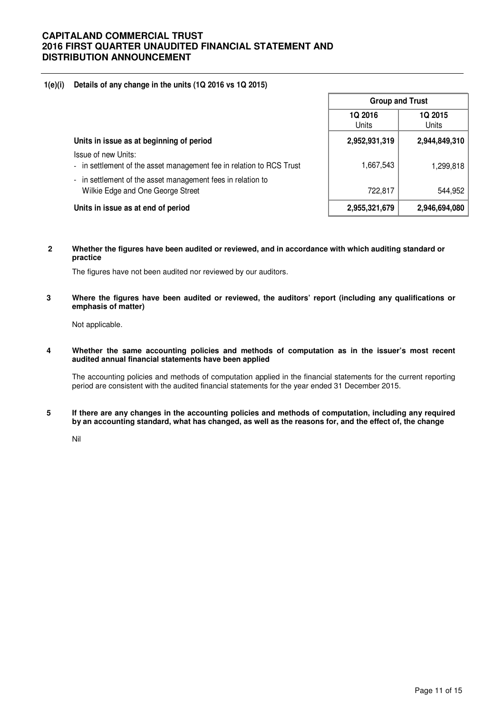## **1(e)(i) Details of any change in the units (1Q 2016 vs 1Q 2015)**

|                                                                                                | <b>Group and Trust</b>         |                  |  |
|------------------------------------------------------------------------------------------------|--------------------------------|------------------|--|
|                                                                                                | <b>1Q 2016</b><br><b>Units</b> | 1Q 2015<br>Units |  |
| Units in issue as at beginning of period                                                       | 2,952,931,319                  | 2,944,849,310    |  |
| Issue of new Units:<br>- in settlement of the asset management fee in relation to RCS Trust    | 1,667,543                      | 1,299,818        |  |
| in settlement of the asset management fees in relation to<br>Wilkie Edge and One George Street | 722,817                        | 544,952          |  |
| Units in issue as at end of period                                                             | 2,955,321,679                  | 2,946,694,080    |  |

**2 Whether the figures have been audited or reviewed, and in accordance with which auditing standard or practice** 

The figures have not been audited nor reviewed by our auditors.

**3 Where the figures have been audited or reviewed, the auditors' report (including any qualifications or emphasis of matter)** 

Not applicable.

**4 Whether the same accounting policies and methods of computation as in the issuer's most recent audited annual financial statements have been applied** 

The accounting policies and methods of computation applied in the financial statements for the current reporting period are consistent with the audited financial statements for the year ended 31 December 2015.

**5 If there are any changes in the accounting policies and methods of computation, including any required by an accounting standard, what has changed, as well as the reasons for, and the effect of, the change**

Nil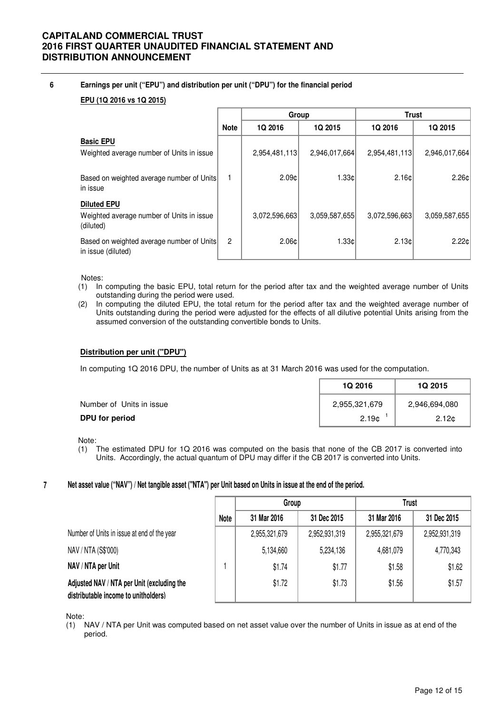## **6 Earnings per unit ("EPU") and distribution per unit ("DPU") for the financial period**

## **EPU (1Q 2016 vs 1Q 2015)**

|                                                                              |                | Group           |               | <b>Trust</b>  |                 |
|------------------------------------------------------------------------------|----------------|-----------------|---------------|---------------|-----------------|
|                                                                              | <b>Note</b>    | 1Q 2016         | 1Q 2015       | 1Q 2016       | 1Q 2015         |
| <b>Basic EPU</b><br>Weighted average number of Units in issue                |                | 2,954,481,113   | 2,946,017,664 | 2,954,481,113 | 2,946,017,664   |
| Based on weighted average number of Units<br>in issue                        |                | 2.09c           | 1.33c         | 2.16c         | 2.26c           |
| <b>Diluted EPU</b><br>Weighted average number of Units in issue<br>(diluted) |                | 3,072,596,663   | 3,059,587,655 | 3,072,596,663 | 3.059.587.655   |
| Based on weighted average number of Units<br>in issue (diluted)              | $\overline{2}$ | $2.06 \text{C}$ | 1.33c         | 2.13c         | $2.22 \text{C}$ |

Notes:

- (1) In computing the basic EPU, total return for the period after tax and the weighted average number of Units outstanding during the period were used.
- (2) In computing the diluted EPU, the total return for the period after tax and the weighted average number of Units outstanding during the period were adjusted for the effects of all dilutive potential Units arising from the assumed conversion of the outstanding convertible bonds to Units.

### **Distribution per unit ("DPU")**

In computing 1Q 2016 DPU, the number of Units as at 31 March 2016 was used for the computation.

|                          | <b>1Q 2016</b>    | <b>1Q 2015</b>    |
|--------------------------|-------------------|-------------------|
| Number of Units in issue | 2,955,321,679     | 2,946,694,080     |
| DPU for period           | 2.19 <sub>0</sub> | 2.12 <sub>0</sub> |

Note:

(1) The estimated DPU for 1Q 2016 was computed on the basis that none of the CB 2017 is converted into Units. Accordingly, the actual quantum of DPU may differ if the CB 2017 is converted into Units.

#### **7 Net asset value ("NAV") / Net tangible asset ("NTA") per Unit based on Units in issue at the end of the period.**

|                                                                                    |      | Group         |               | Trust         |               |
|------------------------------------------------------------------------------------|------|---------------|---------------|---------------|---------------|
|                                                                                    | Note | 31 Mar 2016   | 31 Dec 2015   | 31 Mar 2016   | 31 Dec 2015   |
| Number of Units in issue at end of the year                                        |      | 2,955,321,679 | 2,952,931,319 | 2,955,321,679 | 2,952,931,319 |
| NAV / NTA (S\$'000)                                                                |      | 5,134,660     | 5,234,136     | 4,681,079     | 4,770,343     |
| NAV / NTA per Unit                                                                 |      | \$1.74        | \$1.77        | \$1.58        | \$1.62        |
| Adjusted NAV / NTA per Unit (excluding the<br>distributable income to unitholders) |      | \$1.72        | \$1.73        | \$1.56        | \$1.57        |

Note:

(1) NAV / NTA per Unit was computed based on net asset value over the number of Units in issue as at end of the period.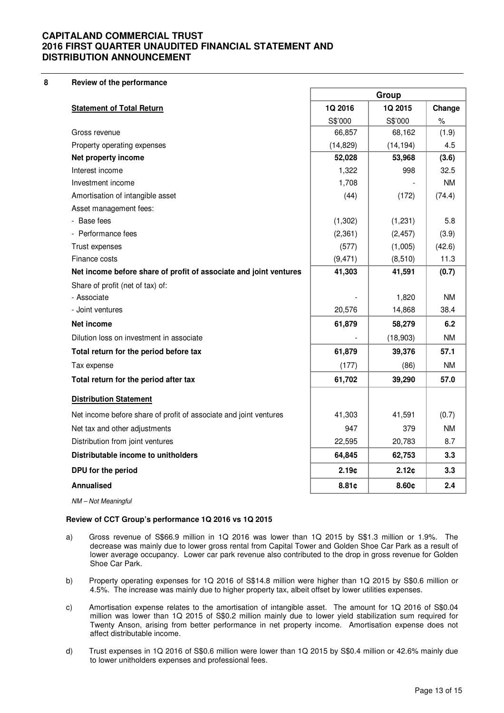#### **8 Review of the performance**

|                                                                   | Group     |           |           |
|-------------------------------------------------------------------|-----------|-----------|-----------|
| <b>Statement of Total Return</b>                                  | 1Q 2016   | 1Q 2015   | Change    |
|                                                                   | S\$'000   | S\$'000   | $\%$      |
| Gross revenue                                                     | 66,857    | 68,162    | (1.9)     |
| Property operating expenses                                       | (14, 829) | (14, 194) | 4.5       |
| Net property income                                               | 52,028    | 53,968    | (3.6)     |
| Interest income                                                   | 1,322     | 998       | 32.5      |
| Investment income                                                 | 1,708     |           | <b>NM</b> |
| Amortisation of intangible asset                                  | (44)      | (172)     | (74.4)    |
| Asset management fees:                                            |           |           |           |
| - Base fees                                                       | (1, 302)  | (1, 231)  | 5.8       |
| - Performance fees                                                | (2, 361)  | (2, 457)  | (3.9)     |
| Trust expenses                                                    | (577)     | (1,005)   | (42.6)    |
| Finance costs                                                     | (9, 471)  | (8, 510)  | 11.3      |
| Net income before share of profit of associate and joint ventures | 41,303    | 41,591    | (0.7)     |
| Share of profit (net of tax) of:                                  |           |           |           |
| - Associate                                                       |           | 1,820     | <b>NM</b> |
| - Joint ventures                                                  | 20,576    | 14,868    | 38.4      |
| Net income                                                        | 61,879    | 58,279    | 6.2       |
| Dilution loss on investment in associate                          |           | (18,903)  | <b>NM</b> |
| Total return for the period before tax                            | 61,879    | 39,376    | 57.1      |
| Tax expense                                                       | (177)     | (86)      | <b>NM</b> |
| Total return for the period after tax                             | 61,702    | 39,290    | 57.0      |
| <b>Distribution Statement</b>                                     |           |           |           |
| Net income before share of profit of associate and joint ventures | 41,303    | 41,591    | (0.7)     |
| Net tax and other adjustments                                     | 947       | 379       | <b>NM</b> |
| Distribution from joint ventures                                  | 22,595    | 20,783    | 8.7       |
| Distributable income to unitholders                               | 64,845    | 62,753    | 3.3       |
| DPU for the period                                                | 2.19c     | 2.12c     | 3.3       |
| Annualised                                                        | 8.81c     | 8.60c     | 2.4       |
| NM - Not Meaningful                                               |           |           |           |

#### **Review of CCT Group's performance 1Q 2016 vs 1Q 2015**

- a) Gross revenue of S\$66.9 million in 1Q 2016 was lower than 1Q 2015 by S\$1.3 million or 1.9%. The decrease was mainly due to lower gross rental from Capital Tower and Golden Shoe Car Park as a result of lower average occupancy. Lower car park revenue also contributed to the drop in gross revenue for Golden Shoe Car Park.
- b) Property operating expenses for 1Q 2016 of S\$14.8 million were higher than 1Q 2015 by S\$0.6 million or 4.5%. The increase was mainly due to higher property tax, albeit offset by lower utilities expenses.
- c) Amortisation expense relates to the amortisation of intangible asset. The amount for 1Q 2016 of S\$0.04 million was lower than 1Q 2015 of S\$0.2 million mainly due to lower yield stabilization sum required for Twenty Anson, arising from better performance in net property income. Amortisation expense does not affect distributable income.
- d) Trust expenses in 1Q 2016 of S\$0.6 million were lower than 1Q 2015 by S\$0.4 million or 42.6% mainly due to lower unitholders expenses and professional fees.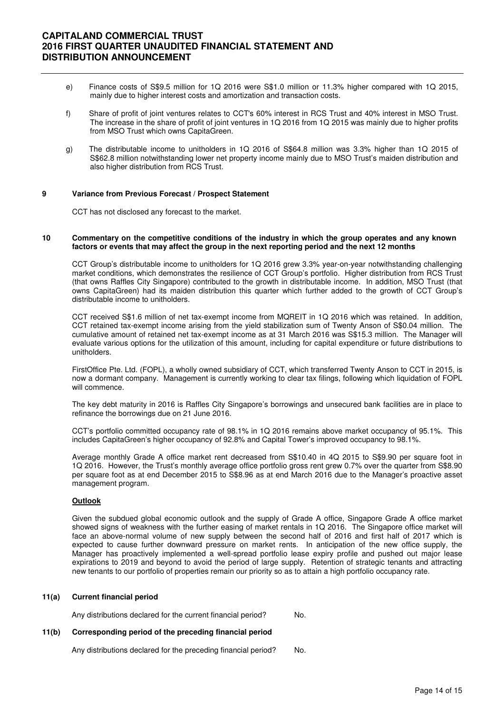- e) Finance costs of S\$9.5 million for 1Q 2016 were S\$1.0 million or 11.3% higher compared with 1Q 2015, mainly due to higher interest costs and amortization and transaction costs.
- f) Share of profit of joint ventures relates to CCT's 60% interest in RCS Trust and 40% interest in MSO Trust. The increase in the share of profit of joint ventures in 1Q 2016 from 1Q 2015 was mainly due to higher profits from MSO Trust which owns CapitaGreen.
- g) The distributable income to unitholders in 1Q 2016 of S\$64.8 million was 3.3% higher than 1Q 2015 of S\$62.8 million notwithstanding lower net property income mainly due to MSO Trust's maiden distribution and also higher distribution from RCS Trust.

#### **9 Variance from Previous Forecast / Prospect Statement**

CCT has not disclosed any forecast to the market.

#### **10 Commentary on the competitive conditions of the industry in which the group operates and any known factors or events that may affect the group in the next reporting period and the next 12 months**

CCT Group's distributable income to unitholders for 1Q 2016 grew 3.3% year-on-year notwithstanding challenging market conditions, which demonstrates the resilience of CCT Group's portfolio. Higher distribution from RCS Trust (that owns Raffles City Singapore) contributed to the growth in distributable income. In addition, MSO Trust (that owns CapitaGreen) had its maiden distribution this quarter which further added to the growth of CCT Group's distributable income to unitholders.

 CCT received S\$1.6 million of net tax-exempt income from MQREIT in 1Q 2016 which was retained. In addition, CCT retained tax-exempt income arising from the yield stabilization sum of Twenty Anson of S\$0.04 million. The cumulative amount of retained net tax-exempt income as at 31 March 2016 was S\$15.3 million. The Manager will evaluate various options for the utilization of this amount, including for capital expenditure or future distributions to unitholders.

 FirstOffice Pte. Ltd. (FOPL), a wholly owned subsidiary of CCT, which transferred Twenty Anson to CCT in 2015, is now a dormant company. Management is currently working to clear tax filings, following which liquidation of FOPL will commence.

 The key debt maturity in 2016 is Raffles City Singapore's borrowings and unsecured bank facilities are in place to refinance the borrowings due on 21 June 2016.

CCT's portfolio committed occupancy rate of 98.1% in 1Q 2016 remains above market occupancy of 95.1%. This includes CapitaGreen's higher occupancy of 92.8% and Capital Tower's improved occupancy to 98.1%.

Average monthly Grade A office market rent decreased from S\$10.40 in 4Q 2015 to S\$9.90 per square foot in 1Q 2016. However, the Trust's monthly average office portfolio gross rent grew 0.7% over the quarter from S\$8.90 per square foot as at end December 2015 to S\$8.96 as at end March 2016 due to the Manager's proactive asset management program.

#### **Outlook**

 Given the subdued global economic outlook and the supply of Grade A office, Singapore Grade A office market showed signs of weakness with the further easing of market rentals in 1Q 2016. The Singapore office market will face an above-normal volume of new supply between the second half of 2016 and first half of 2017 which is expected to cause further downward pressure on market rents. In anticipation of the new office supply, the Manager has proactively implemented a well-spread portfolio lease expiry profile and pushed out major lease expirations to 2019 and beyond to avoid the period of large supply. Retention of strategic tenants and attracting new tenants to our portfolio of properties remain our priority so as to attain a high portfolio occupancy rate.

#### **11(a) Current financial period**

Any distributions declared for the current financial period? No.

### **11(b) Corresponding period of the preceding financial period**

Any distributions declared for the preceding financial period? No.